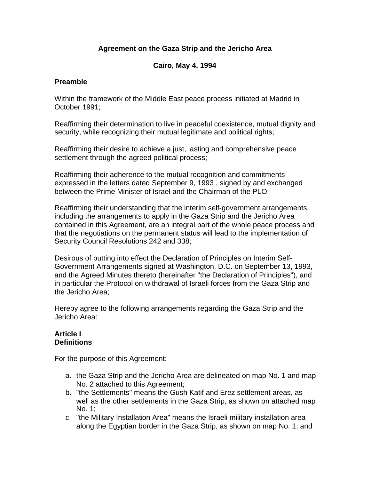# **Agreement on the Gaza Strip and the Jericho Area**

## **Cairo, May 4, 1994**

### **Preamble**

Within the framework of the Middle East peace process initiated at Madrid in October 1991;

Reaffirming their determination to live in peaceful coexistence, mutual dignity and security, while recognizing their mutual legitimate and political rights;

Reaffirming their desire to achieve a just, lasting and comprehensive peace settlement through the agreed political process;

Reaffirming their adherence to the mutual recognition and commitments expressed in the letters dated September 9, 1993 , signed by and exchanged between the Prime Minister of Israel and the Chairman of the PLO;

Reaffirming their understanding that the interim self-government arrangements, including the arrangements to apply in the Gaza Strip and the Jericho Area contained in this Agreement, are an integral part of the whole peace process and that the negotiations on the permanent status will lead to the implementation of Security Council Resolutions 242 and 338;

Desirous of putting into effect the Declaration of Principles on Interim Self-Government Arrangements signed at Washington, D.C. on September 13, 1993, and the Agreed Minutes thereto (hereinafter "the Declaration of Principles"), and in particular the Protocol on withdrawal of Israeli forces from the Gaza Strip and the Jericho Area;

Hereby agree to the following arrangements regarding the Gaza Strip and the Jericho Area:

## **Article I Definitions**

For the purpose of this Agreement:

- a. the Gaza Strip and the Jericho Area are delineated on map No. 1 and map No. 2 attached to this Agreement;
- b. "the Settlements" means the Gush Katif and Erez settlement areas, as well as the other settlements in the Gaza Strip, as shown on attached map No. 1;
- c. "the Military Installation Area" means the Israeli military installation area along the Egyptian border in the Gaza Strip, as shown on map No. 1; and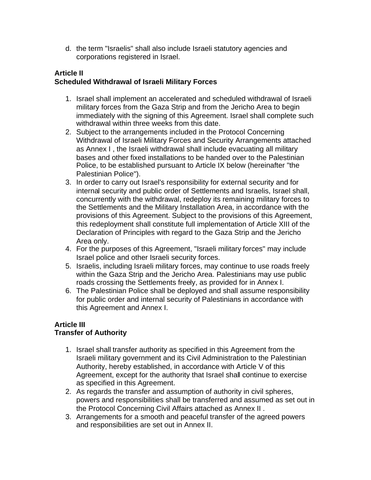d. the term "Israelis" shall also include Israeli statutory agencies and corporations registered in Israel.

## **Article II Scheduled Withdrawal of Israeli Military Forces**

- 1. Israel shall implement an accelerated and scheduled withdrawal of Israeli military forces from the Gaza Strip and from the Jericho Area to begin immediately with the signing of this Agreement. Israel shall complete such withdrawal within three weeks from this date.
- 2. Subject to the arrangements included in the Protocol Concerning Withdrawal of Israeli Military Forces and Security Arrangements attached as Annex I , the Israeli withdrawal shall include evacuating all military bases and other fixed installations to be handed over to the Palestinian Police, to be established pursuant to Article IX below (hereinafter "the Palestinian Police").
- 3. In order to carry out Israel's responsibility for external security and for internal security and public order of Settlements and Israelis, Israel shall, concurrently with the withdrawal, redeploy its remaining military forces to the Settlements and the Military Installation Area, in accordance with the provisions of this Agreement. Subject to the provisions of this Agreement, this redeployment shall constitute full implementation of Article XIII of the Declaration of Principles with regard to the Gaza Strip and the Jericho Area only.
- 4. For the purposes of this Agreement, "Israeli military forces" may include Israel police and other Israeli security forces.
- 5. Israelis, including Israeli military forces, may continue to use roads freely within the Gaza Strip and the Jericho Area. Palestinians may use public roads crossing the Settlements freely, as provided for in Annex I.
- 6. The Palestinian Police shall be deployed and shall assume responsibility for public order and internal security of Palestinians in accordance with this Agreement and Annex I.

### **Article III Transfer of Authority**

- 1. Israel shall transfer authority as specified in this Agreement from the Israeli military government and its Civil Administration to the Palestinian Authority, hereby established, in accordance with Article V of this Agreement, except for the authority that Israel shall continue to exercise as specified in this Agreement.
- 2. As regards the transfer and assumption of authority in civil spheres, powers and responsibilities shall be transferred and assumed as set out in the Protocol Concerning Civil Affairs attached as Annex II .
- 3. Arrangements for a smooth and peaceful transfer of the agreed powers and responsibilities are set out in Annex II.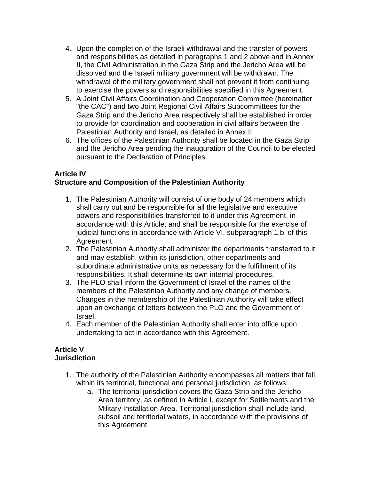- 4. Upon the completion of the Israeli withdrawal and the transfer of powers and responsibilities as detailed in paragraphs 1 and 2 above and in Annex II, the Civil Administration in the Gaza Strip and the Jericho Area will be dissolved and the Israeli military government will be withdrawn. The withdrawal of the military government shall not prevent it from continuing to exercise the powers and responsibilities specified in this Agreement.
- 5. A Joint Civil Affairs Coordination and Cooperation Committee (hereinafter "the CAC") and two Joint Regional Civil Affairs Subcommittees for the Gaza Strip and the Jericho Area respectively shall be established in order to provide for coordination and cooperation in civil affairs between the Palestinian Authority and Israel, as detailed in Annex II.
- 6. The offices of the Palestinian Authority shall be located in the Gaza Strip and the Jericho Area pending the inauguration of the Council to be elected pursuant to the Declaration of Principles.

#### **Article IV Structure and Composition of the Palestinian Authority**

- 1. The Palestinian Authority will consist of one body of 24 members which shall carry out and be responsible for all the legislative and executive powers and responsibilities transferred to it under this Agreement, in accordance with this Article, and shall be responsible for the exercise of judicial functions in accordance with Article VI, subparagraph 1.b. of this Agreement.
- 2. The Palestinian Authority shall administer the departments transferred to it and may establish, within its jurisdiction, other departments and subordinate administrative units as necessary for the fulfillment of its responsibilities. It shall determine its own internal procedures.
- 3. The PLO shall inform the Government of Israel of the names of the members of the Palestinian Authority and any change of members. Changes in the membership of the Palestinian Authority will take effect upon an exchange of letters between the PLO and the Government of Israel.
- 4. Each member of the Palestinian Authority shall enter into office upon undertaking to act in accordance with this Agreement.

#### **Article V Jurisdiction**

- 1. The authority of the Palestinian Authority encompasses all matters that fall within its territorial, functional and personal jurisdiction, as follows:
	- a. The territorial jurisdiction covers the Gaza Strip and the Jericho Area territory, as defined in Article I, except for Settlements and the Military Installation Area. Territorial jurisdiction shall include land, subsoil and territorial waters, in accordance with the provisions of this Agreement.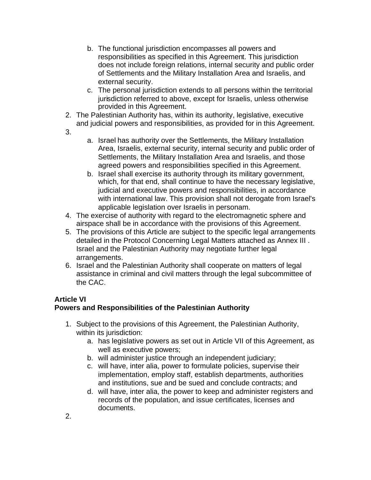- b. The functional jurisdiction encompasses all powers and responsibilities as specified in this Agreement. This jurisdiction does not include foreign relations, internal security and public order of Settlements and the Military Installation Area and Israelis, and external security.
- c. The personal jurisdiction extends to all persons within the territorial jurisdiction referred to above, except for Israelis, unless otherwise provided in this Agreement.
- 2. The Palestinian Authority has, within its authority, legislative, executive and judicial powers and responsibilities, as provided for in this Agreement.
- 3.
- a. Israel has authority over the Settlements, the Military Installation Area, Israelis, external security, internal security and public order of Settlements, the Military Installation Area and Israelis, and those agreed powers and responsibilities specified in this Agreement.
- b. Israel shall exercise its authority through its military government, which, for that end, shall continue to have the necessary legislative, judicial and executive powers and responsibilities, in accordance with international law. This provision shall not derogate from Israel's applicable legislation over Israelis in personam.
- 4. The exercise of authority with regard to the electromagnetic sphere and airspace shall be in accordance with the provisions of this Agreement.
- 5. The provisions of this Article are subject to the specific legal arrangements detailed in the Protocol Concerning Legal Matters attached as Annex III . Israel and the Palestinian Authority may negotiate further legal arrangements.
- 6. Israel and the Palestinian Authority shall cooperate on matters of legal assistance in criminal and civil matters through the legal subcommittee of the CAC.

# **Article VI**

# **Powers and Responsibilities of the Palestinian Authority**

- 1. Subject to the provisions of this Agreement, the Palestinian Authority, within its jurisdiction:
	- a. has legislative powers as set out in Article VII of this Agreement, as well as executive powers;
	- b. will administer justice through an independent judiciary;
	- c. will have, inter alia, power to formulate policies, supervise their implementation, employ staff, establish departments, authorities and institutions, sue and be sued and conclude contracts; and
	- d. will have, inter alia, the power to keep and administer registers and records of the population, and issue certificates, licenses and documents.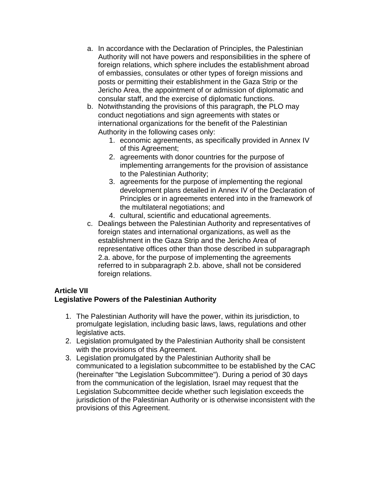- a. In accordance with the Declaration of Principles, the Palestinian Authority will not have powers and responsibilities in the sphere of foreign relations, which sphere includes the establishment abroad of embassies, consulates or other types of foreign missions and posts or permitting their establishment in the Gaza Strip or the Jericho Area, the appointment of or admission of diplomatic and consular staff, and the exercise of diplomatic functions.
- b. Notwithstanding the provisions of this paragraph, the PLO may conduct negotiations and sign agreements with states or international organizations for the benefit of the Palestinian Authority in the following cases only:
	- 1. economic agreements, as specifically provided in Annex IV of this Agreement;
	- 2. agreements with donor countries for the purpose of implementing arrangements for the provision of assistance to the Palestinian Authority;
	- 3. agreements for the purpose of implementing the regional development plans detailed in Annex IV of the Declaration of Principles or in agreements entered into in the framework of the multilateral negotiations; and
	- 4. cultural, scientific and educational agreements.
- c. Dealings between the Palestinian Authority and representatives of foreign states and international organizations, as well as the establishment in the Gaza Strip and the Jericho Area of representative offices other than those described in subparagraph 2.a. above, for the purpose of implementing the agreements referred to in subparagraph 2.b. above, shall not be considered foreign relations.

# **Article VII Legislative Powers of the Palestinian Authority**

- 1. The Palestinian Authority will have the power, within its jurisdiction, to promulgate legislation, including basic laws, laws, regulations and other legislative acts.
- 2. Legislation promulgated by the Palestinian Authority shall be consistent with the provisions of this Agreement.
- 3. Legislation promulgated by the Palestinian Authority shall be communicated to a legislation subcommittee to be established by the CAC (hereinafter "the Legislation Subcommittee"). During a period of 30 days from the communication of the legislation, Israel may request that the Legislation Subcommittee decide whether such legislation exceeds the jurisdiction of the Palestinian Authority or is otherwise inconsistent with the provisions of this Agreement.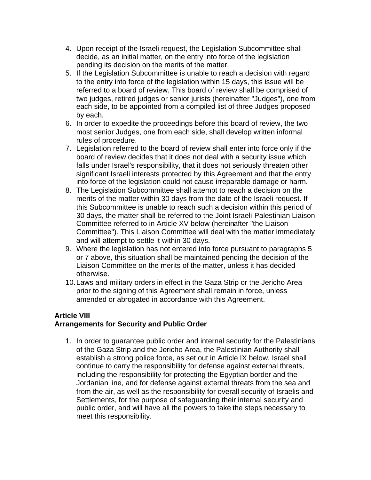- 4. Upon receipt of the Israeli request, the Legislation Subcommittee shall decide, as an initial matter, on the entry into force of the legislation pending its decision on the merits of the matter.
- 5. If the Legislation Subcommittee is unable to reach a decision with regard to the entry into force of the legislation within 15 days, this issue will be referred to a board of review. This board of review shall be comprised of two judges, retired judges or senior jurists (hereinafter "Judges"), one from each side, to be appointed from a compiled list of three Judges proposed by each.
- 6. In order to expedite the proceedings before this board of review, the two most senior Judges, one from each side, shall develop written informal rules of procedure.
- 7. Legislation referred to the board of review shall enter into force only if the board of review decides that it does not deal with a security issue which falls under Israel's responsibility, that it does not seriously threaten other significant Israeli interests protected by this Agreement and that the entry into force of the legislation could not cause irreparable damage or harm.
- 8. The Legislation Subcommittee shall attempt to reach a decision on the merits of the matter within 30 days from the date of the Israeli request. If this Subcommittee is unable to reach such a decision within this period of 30 days, the matter shall be referred to the Joint Israeli-Palestinian Liaison Committee referred to in Article XV below (hereinafter "the Liaison Committee"). This Liaison Committee will deal with the matter immediately and will attempt to settle it within 30 days.
- 9. Where the legislation has not entered into force pursuant to paragraphs 5 or 7 above, this situation shall be maintained pending the decision of the Liaison Committee on the merits of the matter, unless it has decided otherwise.
- 10.Laws and military orders in effect in the Gaza Strip or the Jericho Area prior to the signing of this Agreement shall remain in force, unless amended or abrogated in accordance with this Agreement.

#### **Article VIII Arrangements for Security and Public Order**

1. In order to guarantee public order and internal security for the Palestinians of the Gaza Strip and the Jericho Area, the Palestinian Authority shall establish a strong police force, as set out in Article IX below. Israel shall continue to carry the responsibility for defense against external threats, including the responsibility for protecting the Egyptian border and the Jordanian line, and for defense against external threats from the sea and from the air, as well as the responsibility for overall security of Israelis and Settlements, for the purpose of safeguarding their internal security and public order, and will have all the powers to take the steps necessary to meet this responsibility.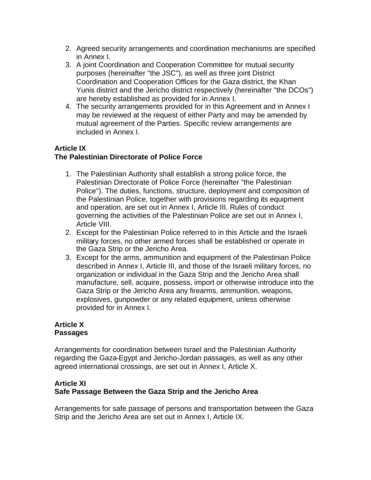- 2. Agreed security arrangements and coordination mechanisms are specified in Annex I.
- 3. A joint Coordination and Cooperation Committee for mutual security purposes (hereinafter "the JSC"), as well as three joint District Coordination and Cooperation Offices for the Gaza district, the Khan Yunis district and the Jericho district respectively (hereinafter "the DCOs") are hereby established as provided for in Annex I.
- 4. The security arrangements provided for in this Agreement and in Annex I may be reviewed at the request of either Party and may be amended by mutual agreement of the Parties. Specific review arrangements are included in Annex I.

## **Article IX**

# **The Palestinian Directorate of Police Force**

- 1. The Palestinian Authority shall establish a strong police force, the Palestinian Directorate of Police Force (hereinafter "the Palestinian Police"). The duties, functions, structure, deployment and composition of the Palestinian Police, together with provisions regarding its equipment and operation, are set out in Annex I, Article III. Rules of conduct governing the activities of the Palestinian Police are set out in Annex I, Article VIII.
- 2. Except for the Palestinian Police referred to in this Article and the Israeli military forces, no other armed forces shall be established or operate in the Gaza Strip or the Jericho Area.
- 3. Except for the arms, ammunition and equipment of the Palestinian Police described in Annex I, Article III, and those of the Israeli military forces, no organization or individual in the Gaza Strip and the Jericho Area shall manufacture, sell, acquire, possess, import or otherwise introduce into the Gaza Strip or the Jericho Area any firearms, ammunition, weapons, explosives, gunpowder or any related equipment, unless otherwise provided for in Annex I.

#### **Article X Passages**

Arrangements for coordination between Israel and the Palestinian Authority regarding the Gaza-Egypt and Jericho-Jordan passages, as well as any other agreed international crossings, are set out in Annex I, Article X.

### **Article XI Safe Passage Between the Gaza Strip and the Jericho Area**

Arrangements for safe passage of persons and transportation between the Gaza Strip and the Jericho Area are set out in Annex I, Article IX.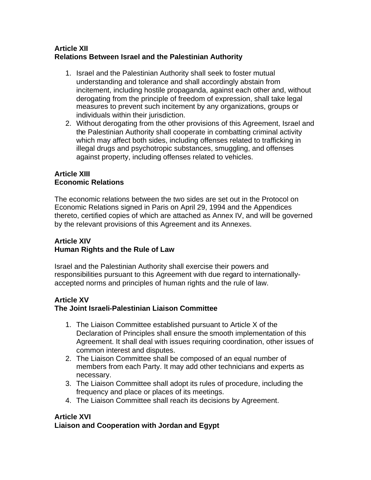## **Article XII Relations Between Israel and the Palestinian Authority**

- 1. Israel and the Palestinian Authority shall seek to foster mutual understanding and tolerance and shall accordingly abstain from incitement, including hostile propaganda, against each other and, without derogating from the principle of freedom of expression, shall take legal measures to prevent such incitement by any organizations, groups or individuals within their jurisdiction.
- 2. Without derogating from the other provisions of this Agreement, Israel and the Palestinian Authority shall cooperate in combatting criminal activity which may affect both sides, including offenses related to trafficking in illegal drugs and psychotropic substances, smuggling, and offenses against property, including offenses related to vehicles.

### **Article XIII Economic Relations**

The economic relations between the two sides are set out in the Protocol on Economic Relations signed in Paris on April 29, 1994 and the Appendices thereto, certified copies of which are attached as Annex IV, and will be governed by the relevant provisions of this Agreement and its Annexes.

# **Article XIV Human Rights and the Rule of Law**

Israel and the Palestinian Authority shall exercise their powers and responsibilities pursuant to this Agreement with due regard to internationallyaccepted norms and principles of human rights and the rule of law.

# **Article XV**

# **The Joint Israeli-Palestinian Liaison Committee**

- 1. The Liaison Committee established pursuant to Article X of the Declaration of Principles shall ensure the smooth implementation of this Agreement. It shall deal with issues requiring coordination, other issues of common interest and disputes.
- 2. The Liaison Committee shall be composed of an equal number of members from each Party. It may add other technicians and experts as necessary.
- 3. The Liaison Committee shall adopt its rules of procedure, including the frequency and place or places of its meetings.
- 4. The Liaison Committee shall reach its decisions by Agreement.

## **Article XVI Liaison and Cooperation with Jordan and Egypt**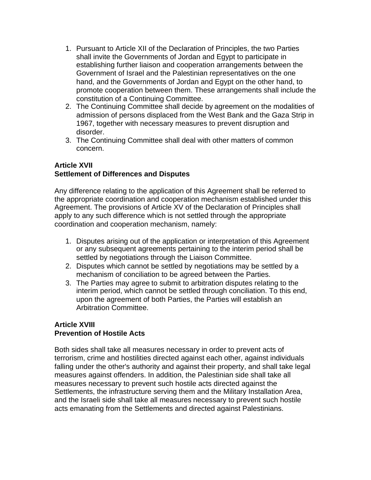- 1. Pursuant to Article XII of the Declaration of Principles, the two Parties shall invite the Governments of Jordan and Egypt to participate in establishing further liaison and cooperation arrangements between the Government of Israel and the Palestinian representatives on the one hand, and the Governments of Jordan and Egypt on the other hand, to promote cooperation between them. These arrangements shall include the constitution of a Continuing Committee.
- 2. The Continuing Committee shall decide by agreement on the modalities of admission of persons displaced from the West Bank and the Gaza Strip in 1967, together with necessary measures to prevent disruption and disorder.
- 3. The Continuing Committee shall deal with other matters of common concern.

# **Article XVII Settlement of Differences and Disputes**

Any difference relating to the application of this Agreement shall be referred to the appropriate coordination and cooperation mechanism established under this Agreement. The provisions of Article XV of the Declaration of Principles shall apply to any such difference which is not settled through the appropriate coordination and cooperation mechanism, namely:

- 1. Disputes arising out of the application or interpretation of this Agreement or any subsequent agreements pertaining to the interim period shall be settled by negotiations through the Liaison Committee.
- 2. Disputes which cannot be settled by negotiations may be settled by a mechanism of conciliation to be agreed between the Parties.
- 3. The Parties may agree to submit to arbitration disputes relating to the interim period, which cannot be settled through conciliation. To this end, upon the agreement of both Parties, the Parties will establish an Arbitration Committee.

## **Article XVIII Prevention of Hostile Acts**

Both sides shall take all measures necessary in order to prevent acts of terrorism, crime and hostilities directed against each other, against individuals falling under the other's authority and against their property, and shall take legal measures against offenders. In addition, the Palestinian side shall take all measures necessary to prevent such hostile acts directed against the Settlements, the infrastructure serving them and the Military Installation Area, and the Israeli side shall take all measures necessary to prevent such hostile acts emanating from the Settlements and directed against Palestinians.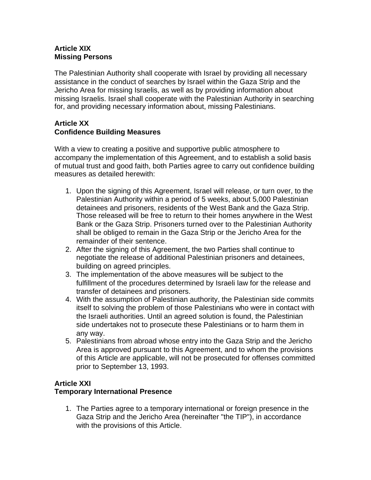# **Article XIX Missing Persons**

The Palestinian Authority shall cooperate with Israel by providing all necessary assistance in the conduct of searches by Israel within the Gaza Strip and the Jericho Area for missing Israelis, as well as by providing information about missing Israelis. Israel shall cooperate with the Palestinian Authority in searching for, and providing necessary information about, missing Palestinians.

## **Article XX Confidence Building Measures**

With a view to creating a positive and supportive public atmosphere to accompany the implementation of this Agreement, and to establish a solid basis of mutual trust and good faith, both Parties agree to carry out confidence building measures as detailed herewith:

- 1. Upon the signing of this Agreement, Israel will release, or turn over, to the Palestinian Authority within a period of 5 weeks, about 5,000 Palestinian detainees and prisoners, residents of the West Bank and the Gaza Strip. Those released will be free to return to their homes anywhere in the West Bank or the Gaza Strip. Prisoners turned over to the Palestinian Authority shall be obliged to remain in the Gaza Strip or the Jericho Area for the remainder of their sentence.
- 2. After the signing of this Agreement, the two Parties shall continue to negotiate the release of additional Palestinian prisoners and detainees, building on agreed principles.
- 3. The implementation of the above measures will be subject to the fulfillment of the procedures determined by Israeli law for the release and transfer of detainees and prisoners.
- 4. With the assumption of Palestinian authority, the Palestinian side commits itself to solving the problem of those Palestinians who were in contact with the Israeli authorities. Until an agreed solution is found, the Palestinian side undertakes not to prosecute these Palestinians or to harm them in any way.
- 5. Palestinians from abroad whose entry into the Gaza Strip and the Jericho Area is approved pursuant to this Agreement, and to whom the provisions of this Article are applicable, will not be prosecuted for offenses committed prior to September 13, 1993.

# **Article XXI**

## **Temporary International Presence**

1. The Parties agree to a temporary international or foreign presence in the Gaza Strip and the Jericho Area (hereinafter "the TIP"), in accordance with the provisions of this Article.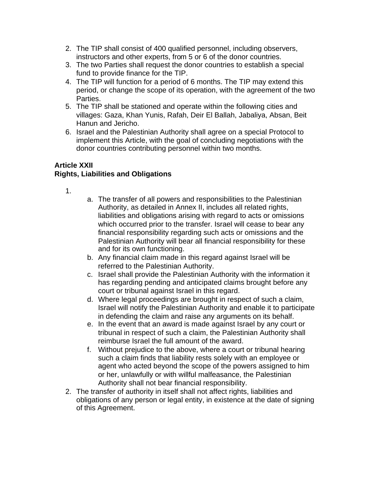- 2. The TIP shall consist of 400 qualified personnel, including observers, instructors and other experts, from 5 or 6 of the donor countries.
- 3. The two Parties shall request the donor countries to establish a special fund to provide finance for the TIP.
- 4. The TIP will function for a period of 6 months. The TIP may extend this period, or change the scope of its operation, with the agreement of the two Parties.
- 5. The TIP shall be stationed and operate within the following cities and villages: Gaza, Khan Yunis, Rafah, Deir El Ballah, Jabaliya, Absan, Beit Hanun and Jericho.
- 6. Israel and the Palestinian Authority shall agree on a special Protocol to implement this Article, with the goal of concluding negotiations with the donor countries contributing personnel within two months.

# **Article XXII**

# **Rights, Liabilities and Obligations**

- 1.
- a. The transfer of all powers and responsibilities to the Palestinian Authority, as detailed in Annex II, includes all related rights, liabilities and obligations arising with regard to acts or omissions which occurred prior to the transfer. Israel will cease to bear any financial responsibility regarding such acts or omissions and the Palestinian Authority will bear all financial responsibility for these and for its own functioning.
- b. Any financial claim made in this regard against Israel will be referred to the Palestinian Authority.
- c. Israel shall provide the Palestinian Authority with the information it has regarding pending and anticipated claims brought before any court or tribunal against Israel in this regard.
- d. Where legal proceedings are brought in respect of such a claim, Israel will notify the Palestinian Authority and enable it to participate in defending the claim and raise any arguments on its behalf.
- e. In the event that an award is made against Israel by any court or tribunal in respect of such a claim, the Palestinian Authority shall reimburse Israel the full amount of the award.
- f. Without prejudice to the above, where a court or tribunal hearing such a claim finds that liability rests solely with an employee or agent who acted beyond the scope of the powers assigned to him or her, unlawfully or with willful malfeasance, the Palestinian Authority shall not bear financial responsibility.
- 2. The transfer of authority in itself shall not affect rights, liabilities and obligations of any person or legal entity, in existence at the date of signing of this Agreement.